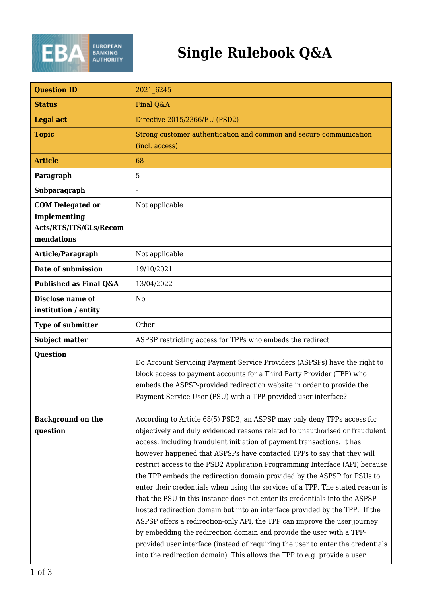

## **Single Rulebook Q&A**

| <b>Question ID</b>                                                              | 2021 6245                                                                                                                                                                                                                                                                                                                                                                                                                                                                                                                                                                                                                                                                                                                                                                                                                                                                                                                                                                                                                                   |
|---------------------------------------------------------------------------------|---------------------------------------------------------------------------------------------------------------------------------------------------------------------------------------------------------------------------------------------------------------------------------------------------------------------------------------------------------------------------------------------------------------------------------------------------------------------------------------------------------------------------------------------------------------------------------------------------------------------------------------------------------------------------------------------------------------------------------------------------------------------------------------------------------------------------------------------------------------------------------------------------------------------------------------------------------------------------------------------------------------------------------------------|
| <b>Status</b>                                                                   | Final Q&A                                                                                                                                                                                                                                                                                                                                                                                                                                                                                                                                                                                                                                                                                                                                                                                                                                                                                                                                                                                                                                   |
| <b>Legal act</b>                                                                | Directive 2015/2366/EU (PSD2)                                                                                                                                                                                                                                                                                                                                                                                                                                                                                                                                                                                                                                                                                                                                                                                                                                                                                                                                                                                                               |
| <b>Topic</b>                                                                    | Strong customer authentication and common and secure communication<br>(incl. access)                                                                                                                                                                                                                                                                                                                                                                                                                                                                                                                                                                                                                                                                                                                                                                                                                                                                                                                                                        |
| <b>Article</b>                                                                  | 68                                                                                                                                                                                                                                                                                                                                                                                                                                                                                                                                                                                                                                                                                                                                                                                                                                                                                                                                                                                                                                          |
| Paragraph                                                                       | 5                                                                                                                                                                                                                                                                                                                                                                                                                                                                                                                                                                                                                                                                                                                                                                                                                                                                                                                                                                                                                                           |
| Subparagraph                                                                    |                                                                                                                                                                                                                                                                                                                                                                                                                                                                                                                                                                                                                                                                                                                                                                                                                                                                                                                                                                                                                                             |
| <b>COM Delegated or</b><br>Implementing<br>Acts/RTS/ITS/GLs/Recom<br>mendations | Not applicable                                                                                                                                                                                                                                                                                                                                                                                                                                                                                                                                                                                                                                                                                                                                                                                                                                                                                                                                                                                                                              |
| <b>Article/Paragraph</b>                                                        | Not applicable                                                                                                                                                                                                                                                                                                                                                                                                                                                                                                                                                                                                                                                                                                                                                                                                                                                                                                                                                                                                                              |
| Date of submission                                                              | 19/10/2021                                                                                                                                                                                                                                                                                                                                                                                                                                                                                                                                                                                                                                                                                                                                                                                                                                                                                                                                                                                                                                  |
| Published as Final Q&A                                                          | 13/04/2022                                                                                                                                                                                                                                                                                                                                                                                                                                                                                                                                                                                                                                                                                                                                                                                                                                                                                                                                                                                                                                  |
| Disclose name of<br>institution / entity                                        | N <sub>0</sub>                                                                                                                                                                                                                                                                                                                                                                                                                                                                                                                                                                                                                                                                                                                                                                                                                                                                                                                                                                                                                              |
| <b>Type of submitter</b>                                                        | Other                                                                                                                                                                                                                                                                                                                                                                                                                                                                                                                                                                                                                                                                                                                                                                                                                                                                                                                                                                                                                                       |
| <b>Subject matter</b>                                                           | ASPSP restricting access for TPPs who embeds the redirect                                                                                                                                                                                                                                                                                                                                                                                                                                                                                                                                                                                                                                                                                                                                                                                                                                                                                                                                                                                   |
| <b>Question</b>                                                                 | Do Account Servicing Payment Service Providers (ASPSPs) have the right to<br>block access to payment accounts for a Third Party Provider (TPP) who<br>embeds the ASPSP-provided redirection website in order to provide the<br>Payment Service User (PSU) with a TPP-provided user interface?                                                                                                                                                                                                                                                                                                                                                                                                                                                                                                                                                                                                                                                                                                                                               |
| <b>Background on the</b><br>question                                            | According to Article 68(5) PSD2, an ASPSP may only deny TPPs access for<br>objectively and duly evidenced reasons related to unauthorised or fraudulent<br>access, including fraudulent initiation of payment transactions. It has<br>however happened that ASPSPs have contacted TPPs to say that they will<br>restrict access to the PSD2 Application Programming Interface (API) because<br>the TPP embeds the redirection domain provided by the ASPSP for PSUs to<br>enter their credentials when using the services of a TPP. The stated reason is<br>that the PSU in this instance does not enter its credentials into the ASPSP-<br>hosted redirection domain but into an interface provided by the TPP. If the<br>ASPSP offers a redirection-only API, the TPP can improve the user journey<br>by embedding the redirection domain and provide the user with a TPP-<br>provided user interface (instead of requiring the user to enter the credentials<br>into the redirection domain). This allows the TPP to e.g. provide a user |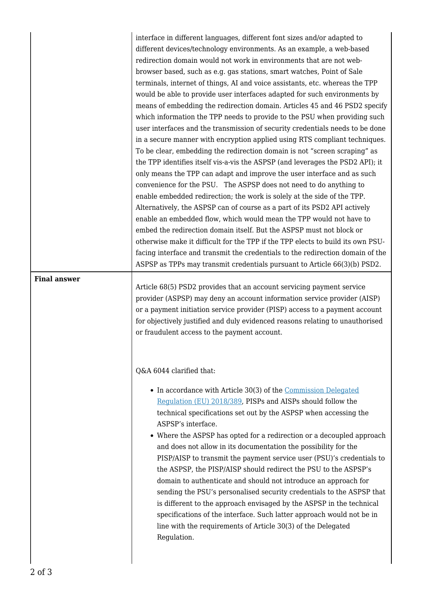|                     | interface in different languages, different font sizes and/or adapted to<br>different devices/technology environments. As an example, a web-based<br>redirection domain would not work in environments that are not web-<br>browser based, such as e.g. gas stations, smart watches, Point of Sale<br>terminals, internet of things, AI and voice assistants, etc. whereas the TPP<br>would be able to provide user interfaces adapted for such environments by<br>means of embedding the redirection domain. Articles 45 and 46 PSD2 specify<br>which information the TPP needs to provide to the PSU when providing such<br>user interfaces and the transmission of security credentials needs to be done<br>in a secure manner with encryption applied using RTS compliant techniques.<br>To be clear, embedding the redirection domain is not "screen scraping" as<br>the TPP identifies itself vis-a-vis the ASPSP (and leverages the PSD2 API); it<br>only means the TPP can adapt and improve the user interface and as such<br>convenience for the PSU. The ASPSP does not need to do anything to<br>enable embedded redirection; the work is solely at the side of the TPP.<br>Alternatively, the ASPSP can of course as a part of its PSD2 API actively<br>enable an embedded flow, which would mean the TPP would not have to<br>embed the redirection domain itself. But the ASPSP must not block or<br>otherwise make it difficult for the TPP if the TPP elects to build its own PSU-<br>facing interface and transmit the credentials to the redirection domain of the<br>ASPSP as TPPs may transmit credentials pursuant to Article 66(3)(b) PSD2. |
|---------------------|--------------------------------------------------------------------------------------------------------------------------------------------------------------------------------------------------------------------------------------------------------------------------------------------------------------------------------------------------------------------------------------------------------------------------------------------------------------------------------------------------------------------------------------------------------------------------------------------------------------------------------------------------------------------------------------------------------------------------------------------------------------------------------------------------------------------------------------------------------------------------------------------------------------------------------------------------------------------------------------------------------------------------------------------------------------------------------------------------------------------------------------------------------------------------------------------------------------------------------------------------------------------------------------------------------------------------------------------------------------------------------------------------------------------------------------------------------------------------------------------------------------------------------------------------------------------------------------------------------------------------------------------------------------------|
| <b>Final answer</b> | Article 68(5) PSD2 provides that an account servicing payment service<br>provider (ASPSP) may deny an account information service provider (AISP)                                                                                                                                                                                                                                                                                                                                                                                                                                                                                                                                                                                                                                                                                                                                                                                                                                                                                                                                                                                                                                                                                                                                                                                                                                                                                                                                                                                                                                                                                                                  |
|                     | or a payment initiation service provider (PISP) access to a payment account<br>for objectively justified and duly evidenced reasons relating to unauthorised<br>or fraudulent access to the payment account.                                                                                                                                                                                                                                                                                                                                                                                                                                                                                                                                                                                                                                                                                                                                                                                                                                                                                                                                                                                                                                                                                                                                                                                                                                                                                                                                                                                                                                                       |
|                     | Q&A 6044 clarified that:                                                                                                                                                                                                                                                                                                                                                                                                                                                                                                                                                                                                                                                                                                                                                                                                                                                                                                                                                                                                                                                                                                                                                                                                                                                                                                                                                                                                                                                                                                                                                                                                                                           |
|                     | • In accordance with Article 30(3) of the Commission Delegated<br>Regulation (EU) 2018/389, PISPs and AISPs should follow the<br>technical specifications set out by the ASPSP when accessing the<br>ASPSP's interface.<br>• Where the ASPSP has opted for a redirection or a decoupled approach<br>and does not allow in its documentation the possibility for the<br>PISP/AISP to transmit the payment service user (PSU)'s credentials to<br>the ASPSP, the PISP/AISP should redirect the PSU to the ASPSP's<br>domain to authenticate and should not introduce an approach for<br>sending the PSU's personalised security credentials to the ASPSP that<br>is different to the approach envisaged by the ASPSP in the technical<br>specifications of the interface. Such latter approach would not be in<br>line with the requirements of Article 30(3) of the Delegated<br>Regulation.                                                                                                                                                                                                                                                                                                                                                                                                                                                                                                                                                                                                                                                                                                                                                                        |